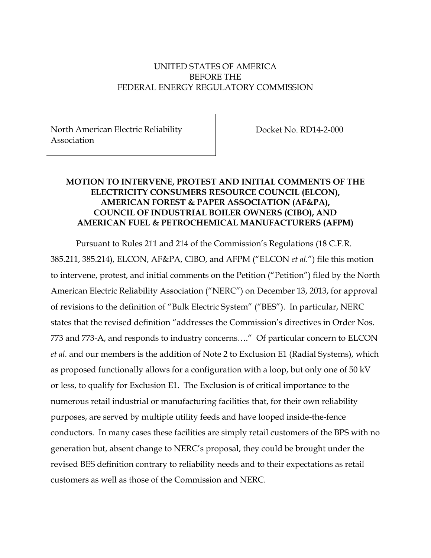## UNITED STATES OF AMERICA BEFORE THE FEDERAL ENERGY REGULATORY COMMISSION

North American Electric Reliability Association

Docket No. RD14-2-000

## **MOTION TO INTERVENE, PROTEST AND INITIAL COMMENTS OF THE ELECTRICITY CONSUMERS RESOURCE COUNCIL (ELCON), AMERICAN FOREST & PAPER ASSOCIATION (AF&PA), COUNCIL OF INDUSTRIAL BOILER OWNERS (CIBO), AND AMERICAN FUEL & PETROCHEMICAL MANUFACTURERS (AFPM)**

Pursuant to Rules 211 and 214 of the Commission's Regulations (18 C.F.R. 385.211, 385.214), ELCON, AF&PA, CIBO, and AFPM ("ELCON *et al.*") file this motion to intervene, protest, and initial comments on the Petition ("Petition") filed by the North American Electric Reliability Association ("NERC") on December 13, 2013, for approval of revisions to the definition of "Bulk Electric System" ("BES"). In particular, NERC states that the revised definition "addresses the Commission's directives in Order Nos. 773 and 773-A, and responds to industry concerns…." Of particular concern to ELCON *et al.* and our members is the addition of Note 2 to Exclusion E1 (Radial Systems), which as proposed functionally allows for a configuration with a loop, but only one of 50 kV or less, to qualify for Exclusion E1. The Exclusion is of critical importance to the numerous retail industrial or manufacturing facilities that, for their own reliability purposes, are served by multiple utility feeds and have looped inside-the-fence conductors. In many cases these facilities are simply retail customers of the BPS with no generation but, absent change to NERC's proposal, they could be brought under the revised BES definition contrary to reliability needs and to their expectations as retail customers as well as those of the Commission and NERC.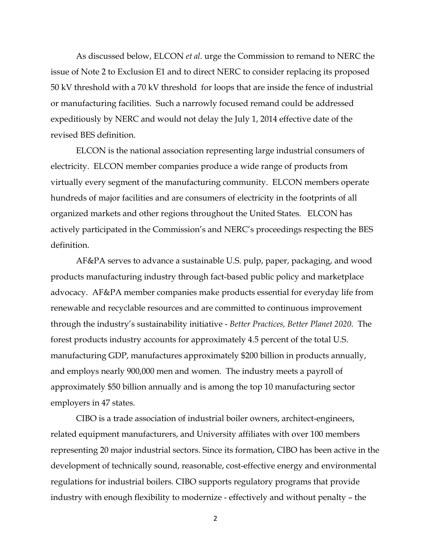As discussed below, ELCON *et al.* urge the Commission to remand to NERC the issue of Note 2 to Exclusion E1 and to direct NERC to consider replacing its proposed 50 kV threshold with a 70 kV threshold for loops that are inside the fence of industrial or manufacturing facilities. Such a narrowly focused remand could be addressed expeditiously by NERC and would not delay the July 1, 2014 effective date of the revised BES definition.

ELCON is the national association representing large industrial consumers of electricity. ELCON member companies produce a wide range of products from virtually every segment of the manufacturing community. ELCON members operate hundreds of major facilities and are consumers of electricity in the footprints of all organized markets and other regions throughout the United States. ELCON has actively participated in the Commission's and NERC's proceedings respecting the BES definition.

AF&PA serves to advance a sustainable U.S. pulp, paper, packaging, and wood products manufacturing industry through fact-based public policy and marketplace advocacy. AF&PA member companies make products essential for everyday life from renewable and recyclable resources and are committed to continuous improvement through the industry's sustainability initiative - *Better Practices, Better Planet 2020*. The forest products industry accounts for approximately 4.5 percent of the total U.S. manufacturing GDP, manufactures approximately \$200 billion in products annually, and employs nearly 900,000 men and women. The industry meets a payroll of approximately \$50 billion annually and is among the top 10 manufacturing sector employers in 47 states.

CIBO is a trade association of industrial boiler owners, architect-engineers, related equipment manufacturers, and University affiliates with over 100 members representing 20 major industrial sectors. Since its formation, CIBO has been active in the development of technically sound, reasonable, cost-effective energy and environmental regulations for industrial boilers. CIBO supports regulatory programs that provide industry with enough flexibility to modernize - effectively and without penalty – the

2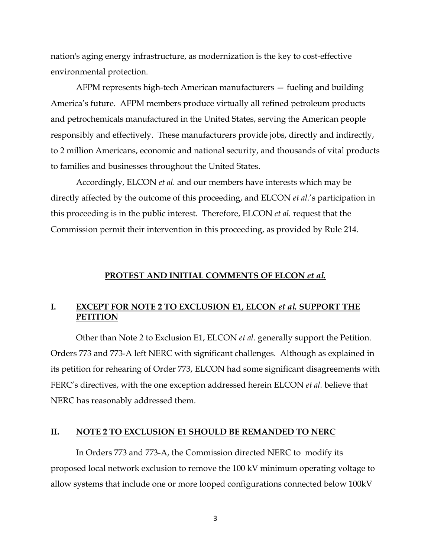nation's aging energy infrastructure, as modernization is the key to cost-effective environmental protection.

AFPM represents high-tech American manufacturers — fueling and building America's future. AFPM members produce virtually all refined petroleum products and petrochemicals manufactured in the United States, serving the American people responsibly and effectively. These manufacturers provide jobs, directly and indirectly, to 2 million Americans, economic and national security, and thousands of vital products to families and businesses throughout the United States.

Accordingly, ELCON *et al.* and our members have interests which may be directly affected by the outcome of this proceeding, and ELCON *et al.*'s participation in this proceeding is in the public interest. Therefore, ELCON *et al.* request that the Commission permit their intervention in this proceeding, as provided by Rule 214.

#### **PROTEST AND INITIAL COMMENTS OF ELCON** *et al.*

### **I. EXCEPT FOR NOTE 2 TO EXCLUSION E1, ELCON** *et al.* **SUPPORT THE PETITION**

Other than Note 2 to Exclusion E1, ELCON *et al.* generally support the Petition. Orders 773 and 773-A left NERC with significant challenges. Although as explained in its petition for rehearing of Order 773, ELCON had some significant disagreements with FERC's directives, with the one exception addressed herein ELCON *et al.* believe that NERC has reasonably addressed them.

#### **II. NOTE 2 TO EXCLUSION E1 SHOULD BE REMANDED TO NERC**

In Orders 773 and 773-A, the Commission directed NERC to modify its proposed local network exclusion to remove the 100 kV minimum operating voltage to allow systems that include one or more looped configurations connected below 100kV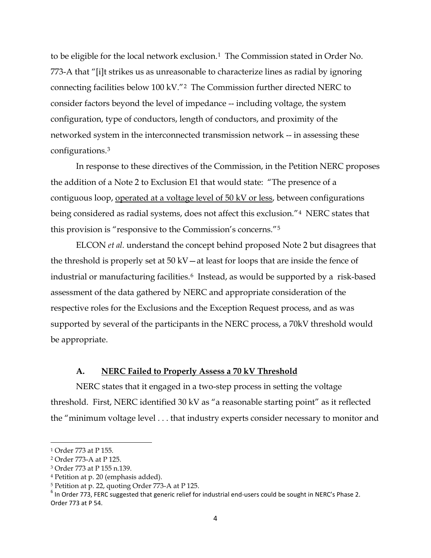to be eligible for the local network exclusion.<sup>1</sup> The Commission stated in Order No. 773-A that "[i]t strikes us as unreasonable to characterize lines as radial by ignoring connecting facilities below 100 kV."[2](#page-3-1) The Commission further directed NERC to consider factors beyond the level of impedance -- including voltage, the system configuration, type of conductors, length of conductors, and proximity of the networked system in the interconnected transmission network -- in assessing these configurations.[3](#page-3-2)

In response to these directives of the Commission, in the Petition NERC proposes the addition of a Note 2 to Exclusion E1 that would state: "The presence of a contiguous loop, operated at a voltage level of 50 kV or less, between configurations being considered as radial systems, does not affect this exclusion."[4](#page-3-3) NERC states that this provision is "responsive to the Commission's concerns."[5](#page-3-4)

ELCON *et al.* understand the concept behind proposed Note 2 but disagrees that the threshold is properly set at  $50 \text{ kV}-$  at least for loops that are inside the fence of industrial or manufacturing facilities.<sup>6</sup> Instead, as would be supported by a risk-based assessment of the data gathered by NERC and appropriate consideration of the respective roles for the Exclusions and the Exception Request process, and as was supported by several of the participants in the NERC process, a 70kV threshold would be appropriate.

#### **A. NERC Failed to Properly Assess a 70 kV Threshold**

NERC states that it engaged in a two-step process in setting the voltage threshold. First, NERC identified 30 kV as "a reasonable starting point" as it reflected the "minimum voltage level . . . that industry experts consider necessary to monitor and

l

<span id="page-3-5"></span><sup>6</sup> In Order 773, FERC suggested that generic relief for industrial end-users could be sought in NERC's Phase 2. Order 773 at P 54.

<span id="page-3-0"></span><sup>1</sup> Order 773 at P 155.

<span id="page-3-1"></span><sup>2</sup> Order 773-A at P 125.

<span id="page-3-2"></span><sup>3</sup> Order 773 at P 155 n.139.

<span id="page-3-3"></span><sup>4</sup> Petition at p. 20 (emphasis added).

<span id="page-3-4"></span><sup>5</sup> Petition at p. 22, quoting Order 773-A at P 125.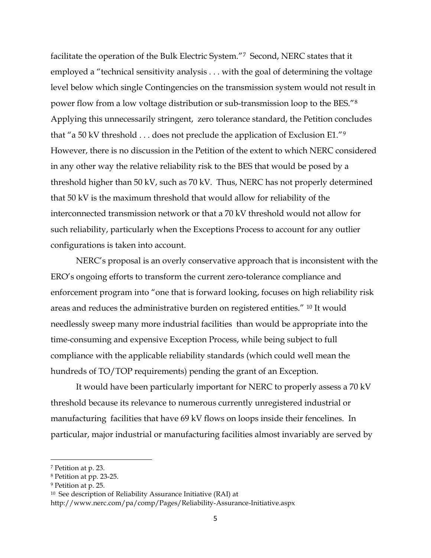facilitate the operation of the Bulk Electric System."[7](#page-4-0) Second, NERC states that it employed a "technical sensitivity analysis . . . with the goal of determining the voltage level below which single Contingencies on the transmission system would not result in power flow from a low voltage distribution or sub-transmission loop to the BES."[8](#page-4-1) Applying this unnecessarily stringent, zero tolerance standard, the Petition concludes that "a 50 kV threshold . . . does not preclude the application of Exclusion E1."[9](#page-4-2) However, there is no discussion in the Petition of the extent to which NERC considered in any other way the relative reliability risk to the BES that would be posed by a threshold higher than 50 kV, such as 70 kV. Thus, NERC has not properly determined that 50 kV is the maximum threshold that would allow for reliability of the interconnected transmission network or that a 70 kV threshold would not allow for such reliability, particularly when the Exceptions Process to account for any outlier configurations is taken into account.

NERC's proposal is an overly conservative approach that is inconsistent with the ERO's ongoing efforts to transform the current zero-tolerance compliance and enforcement program into "one that is forward looking, focuses on high reliability risk areas and reduces the administrative burden on registered entities." [10](#page-4-3) It would needlessly sweep many more industrial facilities than would be appropriate into the time-consuming and expensive Exception Process, while being subject to full compliance with the applicable reliability standards (which could well mean the hundreds of TO/TOP requirements) pending the grant of an Exception.

It would have been particularly important for NERC to properly assess a 70 kV threshold because its relevance to numerous currently unregistered industrial or manufacturing facilities that have 69 kV flows on loops inside their fencelines. In particular, major industrial or manufacturing facilities almost invariably are served by

<span id="page-4-0"></span><sup>7</sup> Petition at p. 23.

<span id="page-4-1"></span><sup>8</sup> Petition at pp. 23-25.

<span id="page-4-2"></span><sup>9</sup> Petition at p. 25.

<span id="page-4-3"></span><sup>10</sup> See description of Reliability Assurance Initiative (RAI) at

http://www.nerc.com/pa/comp/Pages/Reliability-Assurance-Initiative.aspx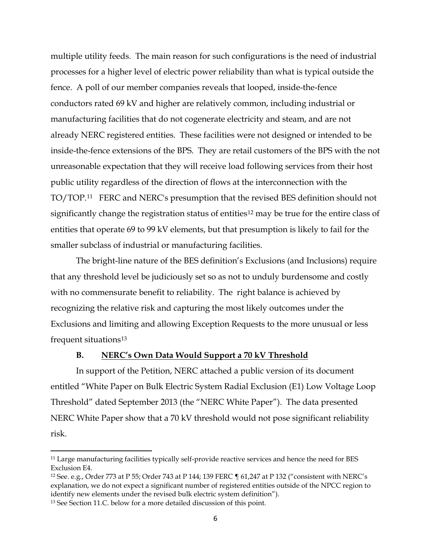multiple utility feeds. The main reason for such configurations is the need of industrial processes for a higher level of electric power reliability than what is typical outside the fence. A poll of our member companies reveals that looped, inside-the-fence conductors rated 69 kV and higher are relatively common, including industrial or manufacturing facilities that do not cogenerate electricity and steam, and are not already NERC registered entities. These facilities were not designed or intended to be inside-the-fence extensions of the BPS. They are retail customers of the BPS with the not unreasonable expectation that they will receive load following services from their host public utility regardless of the direction of flows at the interconnection with the TO/TOP.[11](#page-5-0) FERC and NERC's presumption that the revised BES definition should not significantly change the registration status of entities<sup>[12](#page-5-1)</sup> may be true for the entire class of entities that operate 69 to 99 kV elements, but that presumption is likely to fail for the smaller subclass of industrial or manufacturing facilities.

The bright-line nature of the BES definition's Exclusions (and Inclusions) require that any threshold level be judiciously set so as not to unduly burdensome and costly with no commensurate benefit to reliability. The right balance is achieved by recognizing the relative risk and capturing the most likely outcomes under the Exclusions and limiting and allowing Exception Requests to the more unusual or less frequent situations[13](#page-5-2)

#### **B. NERC's Own Data Would Support a 70 kV Threshold**

In support of the Petition, NERC attached a public version of its document entitled "White Paper on Bulk Electric System Radial Exclusion (E1) Low Voltage Loop Threshold" dated September 2013 (the "NERC White Paper"). The data presented NERC White Paper show that a 70 kV threshold would not pose significant reliability risk.

<span id="page-5-0"></span><sup>&</sup>lt;sup>11</sup> Large manufacturing facilities typically self-provide reactive services and hence the need for BES Exclusion E4.

<span id="page-5-1"></span><sup>12</sup> See. e.g., Order 773 at P 55; Order 743 at P 144; 139 FERC ¶ 61,247 at P 132 ("consistent with NERC's explanation, we do not expect a significant number of registered entities outside of the NPCC region to identify new elements under the revised bulk electric system definition").

<span id="page-5-2"></span><sup>13</sup> See Section 11.C. below for a more detailed discussion of this point.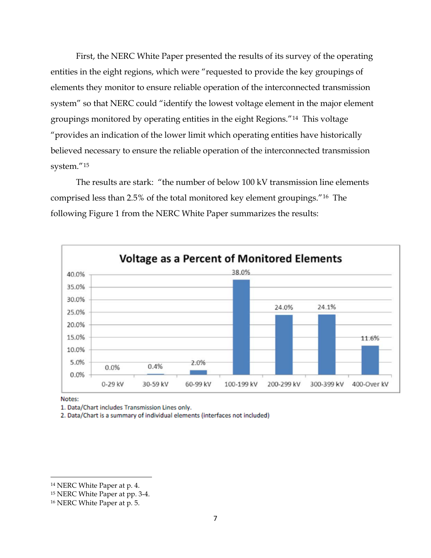First, the NERC White Paper presented the results of its survey of the operating entities in the eight regions, which were "requested to provide the key groupings of elements they monitor to ensure reliable operation of the interconnected transmission system" so that NERC could "identify the lowest voltage element in the major element groupings monitored by operating entities in the eight Regions."[14](#page-6-0) This voltage "provides an indication of the lower limit which operating entities have historically believed necessary to ensure the reliable operation of the interconnected transmission system."[15](#page-6-1)

The results are stark: "the number of below 100 kV transmission line elements comprised less than 2.5% of the total monitored key element groupings."[16](#page-6-2) The following Figure 1 from the NERC White Paper summarizes the results:



Notes:

l

1. Data/Chart includes Transmission Lines only.

2. Data/Chart is a summary of individual elements (interfaces not included)

<span id="page-6-0"></span><sup>14</sup> NERC White Paper at p. 4.

<span id="page-6-1"></span><sup>15</sup> NERC White Paper at pp. 3-4.

<span id="page-6-2"></span><sup>16</sup> NERC White Paper at p. 5.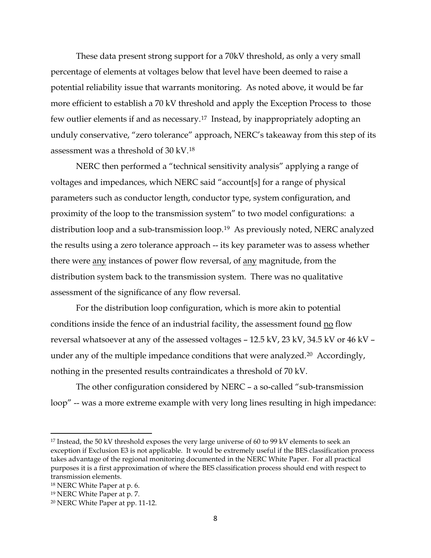These data present strong support for a 70kV threshold, as only a very small percentage of elements at voltages below that level have been deemed to raise a potential reliability issue that warrants monitoring. As noted above, it would be far more efficient to establish a 70 kV threshold and apply the Exception Process to those few outlier elements if and as necessary.[17](#page-7-0) Instead, by inappropriately adopting an unduly conservative, "zero tolerance" approach, NERC's takeaway from this step of its assessment was a threshold of 30 kV.[18](#page-7-1)

NERC then performed a "technical sensitivity analysis" applying a range of voltages and impedances, which NERC said "account[s] for a range of physical parameters such as conductor length, conductor type, system configuration, and proximity of the loop to the transmission system" to two model configurations: a distribution loop and a sub-transmission loop.[19](#page-7-2) As previously noted, NERC analyzed the results using a zero tolerance approach -- its key parameter was to assess whether there were any instances of power flow reversal, of any magnitude, from the distribution system back to the transmission system. There was no qualitative assessment of the significance of any flow reversal.

For the distribution loop configuration, which is more akin to potential conditions inside the fence of an industrial facility, the assessment found no flow reversal whatsoever at any of the assessed voltages – 12.5 kV, 23 kV, 34.5 kV or 46 kV – under any of the multiple impedance conditions that were analyzed.<sup>[20](#page-7-3)</sup> Accordingly, nothing in the presented results contraindicates a threshold of 70 kV.

The other configuration considered by NERC – a so-called "sub-transmission loop" -- was a more extreme example with very long lines resulting in high impedance:

 $\overline{\phantom{a}}$ 

<span id="page-7-0"></span><sup>&</sup>lt;sup>17</sup> Instead, the 50 kV threshold exposes the very large universe of 60 to 99 kV elements to seek an exception if Exclusion E3 is not applicable. It would be extremely useful if the BES classification process takes advantage of the regional monitoring documented in the NERC White Paper. For all practical purposes it is a first approximation of where the BES classification process should end with respect to transmission elements.

<span id="page-7-1"></span><sup>18</sup> NERC White Paper at p. 6.

<span id="page-7-2"></span><sup>19</sup> NERC White Paper at p. 7.

<span id="page-7-3"></span><sup>20</sup> NERC White Paper at pp. 11-12.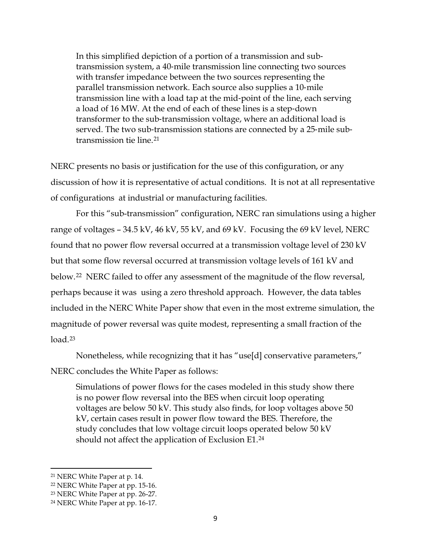In this simplified depiction of a portion of a transmission and sub‐ transmission system, a 40‐mile transmission line connecting two sources with transfer impedance between the two sources representing the parallel transmission network. Each source also supplies a 10‐mile transmission line with a load tap at the mid‐point of the line, each serving a load of 16 MW. At the end of each of these lines is a step‐down transformer to the sub‐transmission voltage, where an additional load is served. The two sub-transmission stations are connected by a 25-mile subtransmission tie line.[21](#page-8-0)

NERC presents no basis or justification for the use of this configuration, or any discussion of how it is representative of actual conditions. It is not at all representative of configurations at industrial or manufacturing facilities.

For this "sub-transmission" configuration, NERC ran simulations using a higher range of voltages – 34.5 kV, 46 kV, 55 kV, and 69 kV. Focusing the 69 kV level, NERC found that no power flow reversal occurred at a transmission voltage level of 230 kV but that some flow reversal occurred at transmission voltage levels of 161 kV and below.[22](#page-8-1) NERC failed to offer any assessment of the magnitude of the flow reversal, perhaps because it was using a zero threshold approach. However, the data tables included in the NERC White Paper show that even in the most extreme simulation, the magnitude of power reversal was quite modest, representing a small fraction of the load.[23](#page-8-2)

Nonetheless, while recognizing that it has "use[d] conservative parameters,"

NERC concludes the White Paper as follows:

Simulations of power flows for the cases modeled in this study show there is no power flow reversal into the BES when circuit loop operating voltages are below 50 kV. This study also finds, for loop voltages above 50 kV, certain cases result in power flow toward the BES. Therefore, the study concludes that low voltage circuit loops operated below 50 kV should not affect the application of Exclusion E1.[24](#page-8-3)

<span id="page-8-0"></span><sup>21</sup> NERC White Paper at p. 14.

<span id="page-8-1"></span><sup>22</sup> NERC White Paper at pp. 15-16.

<span id="page-8-2"></span><sup>23</sup> NERC White Paper at pp. 26-27.

<span id="page-8-3"></span><sup>24</sup> NERC White Paper at pp. 16-17.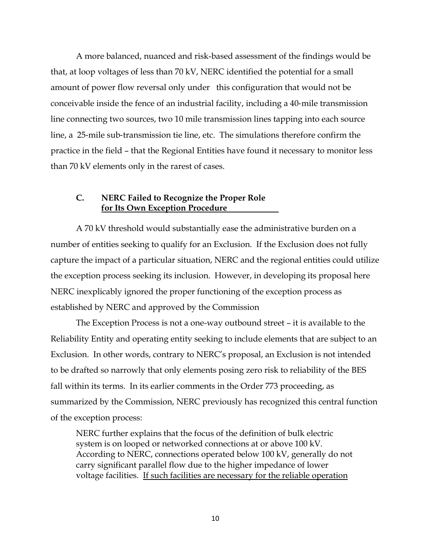A more balanced, nuanced and risk-based assessment of the findings would be that, at loop voltages of less than 70 kV, NERC identified the potential for a small amount of power flow reversal only under this configuration that would not be conceivable inside the fence of an industrial facility, including a 40‐mile transmission line connecting two sources, two 10 mile transmission lines tapping into each source line, a 25-mile sub-transmission tie line, etc. The simulations therefore confirm the practice in the field – that the Regional Entities have found it necessary to monitor less than 70 kV elements only in the rarest of cases.

### **C. NERC Failed to Recognize the Proper Role for Its Own Exception Procedure**

A 70 kV threshold would substantially ease the administrative burden on a number of entities seeking to qualify for an Exclusion. If the Exclusion does not fully capture the impact of a particular situation, NERC and the regional entities could utilize the exception process seeking its inclusion. However, in developing its proposal here NERC inexplicably ignored the proper functioning of the exception process as established by NERC and approved by the Commission

The Exception Process is not a one-way outbound street – it is available to the Reliability Entity and operating entity seeking to include elements that are subject to an Exclusion. In other words, contrary to NERC's proposal, an Exclusion is not intended to be drafted so narrowly that only elements posing zero risk to reliability of the BES fall within its terms. In its earlier comments in the Order 773 proceeding, as summarized by the Commission, NERC previously has recognized this central function of the exception process:

NERC further explains that the focus of the definition of bulk electric system is on looped or networked connections at or above 100 kV. According to NERC, connections operated below 100 kV, generally do not carry significant parallel flow due to the higher impedance of lower voltage facilities. If such facilities are necessary for the reliable operation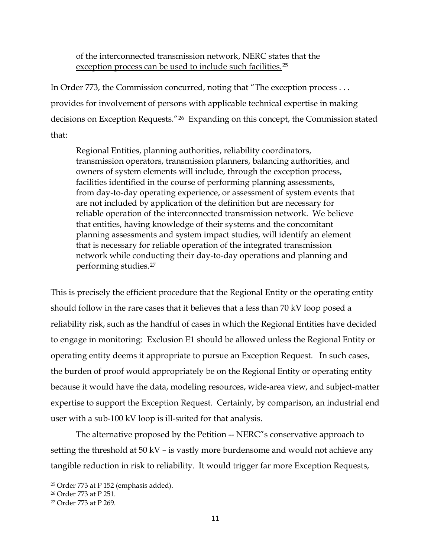## of the interconnected transmission network, NERC states that the exception process can be used to include such facilities.<sup>[25](#page-10-0)</sup>

In Order 773, the Commission concurred, noting that "The exception process . . . provides for involvement of persons with applicable technical expertise in making decisions on Exception Requests."[26](#page-10-1) Expanding on this concept, the Commission stated that:

Regional Entities, planning authorities, reliability coordinators, transmission operators, transmission planners, balancing authorities, and owners of system elements will include, through the exception process, facilities identified in the course of performing planning assessments, from day-to-day operating experience, or assessment of system events that are not included by application of the definition but are necessary for reliable operation of the interconnected transmission network. We believe that entities, having knowledge of their systems and the concomitant planning assessments and system impact studies, will identify an element that is necessary for reliable operation of the integrated transmission network while conducting their day-to-day operations and planning and performing studies.[27](#page-10-2)

This is precisely the efficient procedure that the Regional Entity or the operating entity should follow in the rare cases that it believes that a less than 70 kV loop posed a reliability risk, such as the handful of cases in which the Regional Entities have decided to engage in monitoring: Exclusion E1 should be allowed unless the Regional Entity or operating entity deems it appropriate to pursue an Exception Request. In such cases, the burden of proof would appropriately be on the Regional Entity or operating entity because it would have the data, modeling resources, wide-area view, and subject-matter expertise to support the Exception Request. Certainly, by comparison, an industrial end user with a sub-100 kV loop is ill-suited for that analysis.

The alternative proposed by the Petition -- NERC"s conservative approach to setting the threshold at 50 kV – is vastly more burdensome and would not achieve any tangible reduction in risk to reliability. It would trigger far more Exception Requests,

<span id="page-10-0"></span><sup>25</sup> Order 773 at P 152 (emphasis added).

<span id="page-10-1"></span><sup>26</sup> Order 773 at P 251.

<span id="page-10-2"></span><sup>27</sup> Order 773 at P 269.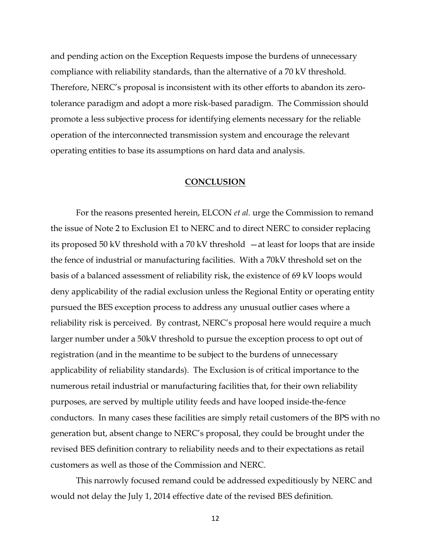and pending action on the Exception Requests impose the burdens of unnecessary compliance with reliability standards, than the alternative of a 70 kV threshold. Therefore, NERC's proposal is inconsistent with its other efforts to abandon its zerotolerance paradigm and adopt a more risk-based paradigm. The Commission should promote a less subjective process for identifying elements necessary for the reliable operation of the interconnected transmission system and encourage the relevant operating entities to base its assumptions on hard data and analysis.

#### **CONCLUSION**

For the reasons presented herein, ELCON *et al.* urge the Commission to remand the issue of Note 2 to Exclusion E1 to NERC and to direct NERC to consider replacing its proposed 50 kV threshold with a 70 kV threshold —at least for loops that are inside the fence of industrial or manufacturing facilities. With a 70kV threshold set on the basis of a balanced assessment of reliability risk, the existence of 69 kV loops would deny applicability of the radial exclusion unless the Regional Entity or operating entity pursued the BES exception process to address any unusual outlier cases where a reliability risk is perceived. By contrast, NERC's proposal here would require a much larger number under a 50kV threshold to pursue the exception process to opt out of registration (and in the meantime to be subject to the burdens of unnecessary applicability of reliability standards). The Exclusion is of critical importance to the numerous retail industrial or manufacturing facilities that, for their own reliability purposes, are served by multiple utility feeds and have looped inside-the-fence conductors. In many cases these facilities are simply retail customers of the BPS with no generation but, absent change to NERC's proposal, they could be brought under the revised BES definition contrary to reliability needs and to their expectations as retail customers as well as those of the Commission and NERC.

This narrowly focused remand could be addressed expeditiously by NERC and would not delay the July 1, 2014 effective date of the revised BES definition.

12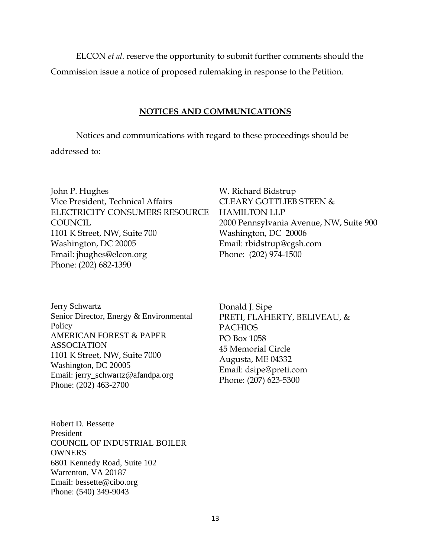ELCON *et al.* reserve the opportunity to submit further comments should the Commission issue a notice of proposed rulemaking in response to the Petition.

### **NOTICES AND COMMUNICATIONS**

Notices and communications with regard to these proceedings should be

addressed to:

John P. Hughes Vice President, Technical Affairs ELECTRICITY CONSUMERS RESOURCE **COUNCIL** 1101 K Street, NW, Suite 700 Washington, DC 20005 Email: jhughes@elcon.org Phone: (202) 682-1390

Jerry Schwartz Senior Director, Energy & Environmental Policy AMERICAN FOREST & PAPER ASSOCIATION 1101 K Street, NW, Suite 7000 Washington, DC 20005 Email: jerry\_schwartz@afandpa.org Phone: (202) 463-2700

Donald J. Sipe PRETI, FLAHERTY, BELIVEAU, & PACHIOS PO Box 1058 45 Memorial Circle Augusta, ME 04332

W. Richard Bidstrup

Washington, DC 20006 Email: rbidstrup@cgsh.com

Phone: (202) 974-1500

Email: dsipe@preti.com Phone: (207) 623-5300

HAMILTON LLP

CLEARY GOTTLIEB STEEN &

2000 Pennsylvania Avenue, NW, Suite 900

Robert D. Bessette President COUNCIL OF INDUSTRIAL BOILER **OWNERS** 6801 Kennedy Road, Suite 102 Warrenton, VA 20187 Email: bessette@cibo.org Phone: (540) 349-9043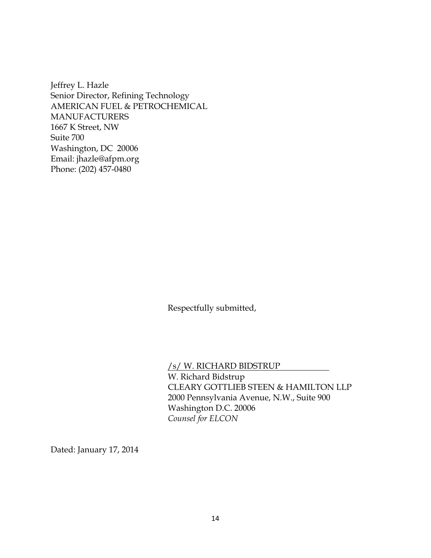Jeffrey L. Hazle Senior Director, Refining Technology AMERICAN FUEL & PETROCHEMICAL MANUFACTURERS 1667 K Street, NW Suite 700 Washington, DC 20006 Email: jhazle@afpm.org Phone: (202) 457-0480

Respectfully submitted,

/s/ W. RICHARD BIDSTRUP

W. Richard Bidstrup CLEARY GOTTLIEB STEEN & HAMILTON LLP 2000 Pennsylvania Avenue, N.W., Suite 900 Washington D.C. 20006 *Counsel for ELCON*

Dated: January 17, 2014